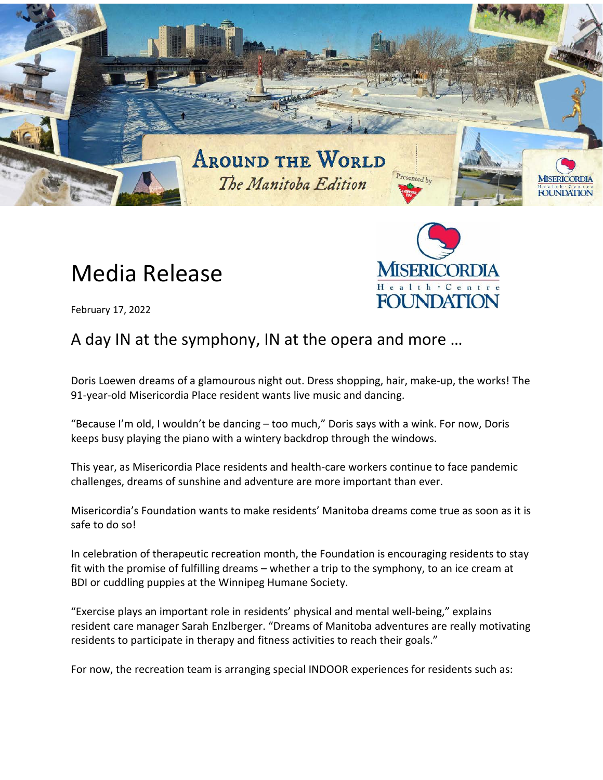

## Media Release



February 17, 2022

## A day IN at the symphony, IN at the opera and more …

Doris Loewen dreams of a glamourous night out. Dress shopping, hair, make-up, the works! The 91-year-old Misericordia Place resident wants live music and dancing.

"Because I'm old, I wouldn't be dancing – too much," Doris says with a wink. For now, Doris keeps busy playing the piano with a wintery backdrop through the windows.

This year, as Misericordia Place residents and health-care workers continue to face pandemic challenges, dreams of sunshine and adventure are more important than ever.

Misericordia's Foundation wants to make residents' Manitoba dreams come true as soon as it is safe to do so!

In celebration of therapeutic recreation month, the Foundation is encouraging residents to stay fit with the promise of fulfilling dreams – whether a trip to the symphony, to an ice cream at BDI or cuddling puppies at the Winnipeg Humane Society.

"Exercise plays an important role in residents' physical and mental well-being," explains resident care manager Sarah Enzlberger. "Dreams of Manitoba adventures are really motivating residents to participate in therapy and fitness activities to reach their goals."

For now, the recreation team is arranging special INDOOR experiences for residents such as: